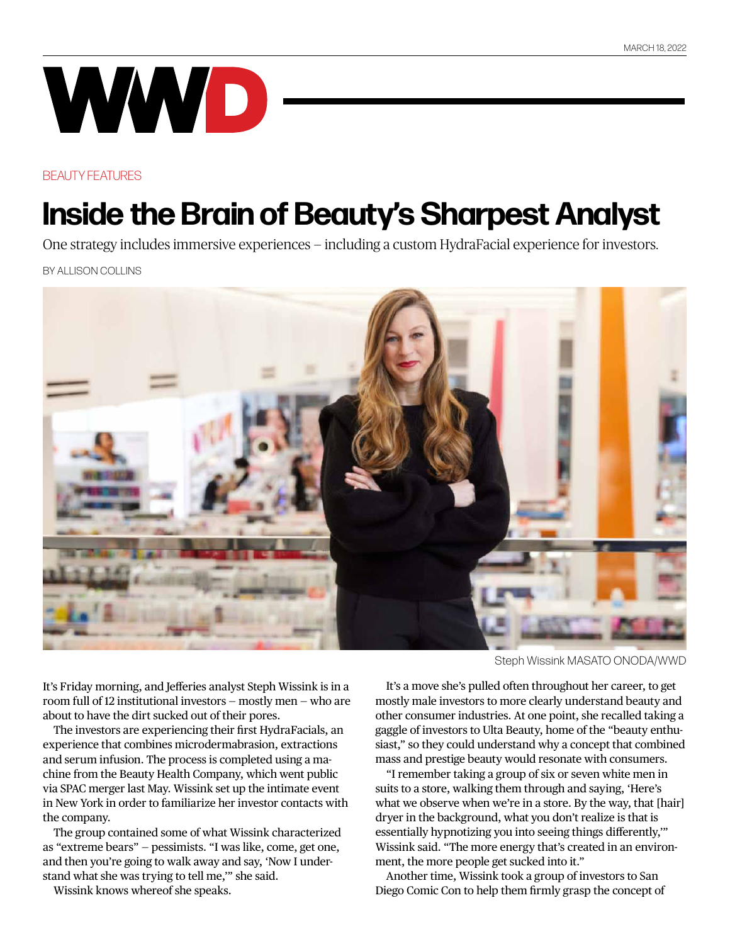## WWD

## BEAUTY FEATURES

## **Inside the Brain of Beauty's Sharpest Analyst**

One strategy includes immersive experiences — including a custom HydraFacial experience for investors.

BY ALLISON COLLINS



It's Friday morning, and Jefferies analyst Steph Wissink is in a room full of 12 institutional investors — mostly men — who are about to have the dirt sucked out of their pores.

The investors are experiencing their first HydraFacials, an experience that combines microdermabrasion, extractions and serum infusion. The process is completed using a machine from the Beauty Health Company, which went public via SPAC merger last May. Wissink set up the intimate event in New York in order to familiarize her investor contacts with the company.

The group contained some of what Wissink characterized as "extreme bears" — pessimists. "I was like, come, get one, and then you're going to walk away and say, 'Now I understand what she was trying to tell me,'" she said.

Wissink knows whereof she speaks.

Steph Wissink MASATO ONODA/WWD

It's a move she's pulled often throughout her career, to get mostly male investors to more clearly understand beauty and other consumer industries. At one point, she recalled taking a gaggle of investors to Ulta Beauty, home of the "beauty enthusiast," so they could understand why a concept that combined mass and prestige beauty would resonate with consumers.

"I remember taking a group of six or seven white men in suits to a store, walking them through and saying, 'Here's what we observe when we're in a store. By the way, that [hair] dryer in the background, what you don't realize is that is essentially hypnotizing you into seeing things differently,'" Wissink said. "The more energy that's created in an environment, the more people get sucked into it."

Another time, Wissink took a group of investors to San Diego Comic Con to help them firmly grasp the concept of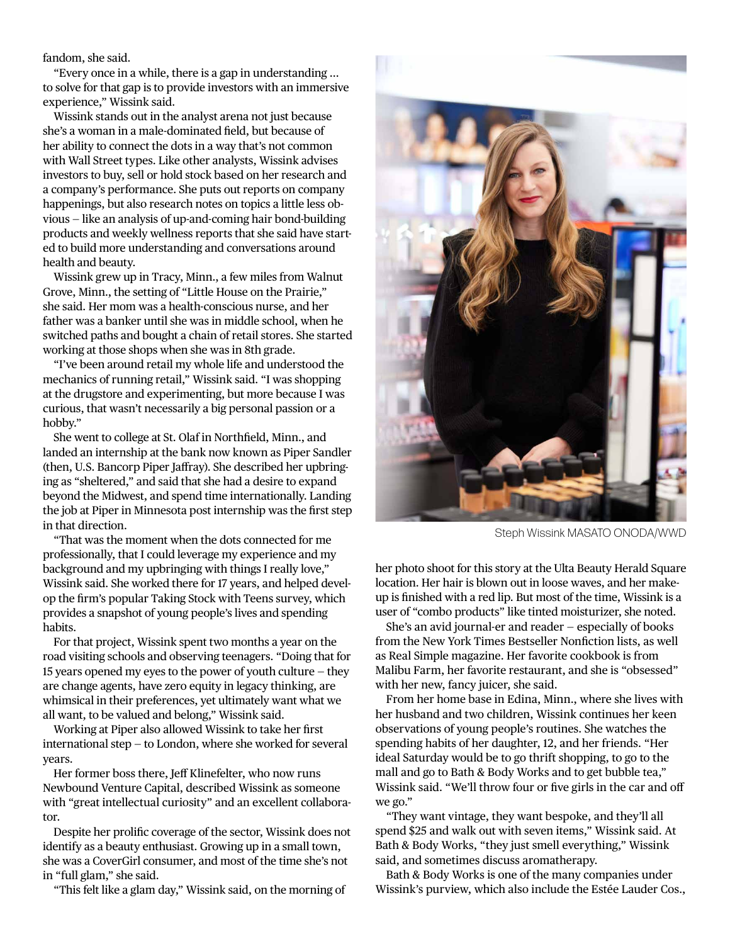## fandom, she said.

"Every once in a while, there is a gap in understanding … to solve for that gap is to provide investors with an immersive experience," Wissink said.

Wissink stands out in the analyst arena not just because she's a woman in a male-dominated field, but because of her ability to connect the dots in a way that's not common with Wall Street types. Like other analysts, Wissink advises investors to buy, sell or hold stock based on her research and a company's performance. She puts out reports on company happenings, but also research notes on topics a little less obvious — like an analysis of up-and-coming hair bond-building products and weekly wellness reports that she said have started to build more understanding and conversations around health and beauty.

Wissink grew up in Tracy, Minn., a few miles from Walnut Grove, Minn., the setting of "Little House on the Prairie," she said. Her mom was a health-conscious nurse, and her father was a banker until she was in middle school, when he switched paths and bought a chain of retail stores. She started working at those shops when she was in 8th grade.

"I've been around retail my whole life and understood the mechanics of running retail," Wissink said. "I was shopping at the drugstore and experimenting, but more because I was curious, that wasn't necessarily a big personal passion or a hobby."

She went to college at St. Olaf in Northfield, Minn., and landed an internship at the bank now known as Piper Sandler (then, U.S. Bancorp Piper Jaffray). She described her upbringing as "sheltered," and said that she had a desire to expand beyond the Midwest, and spend time internationally. Landing the job at Piper in Minnesota post internship was the first step in that direction.

"That was the moment when the dots connected for me professionally, that I could leverage my experience and my background and my upbringing with things I really love," Wissink said. She worked there for 17 years, and helped develop the firm's popular Taking Stock with Teens survey, which provides a snapshot of young people's lives and spending habits.

For that project, Wissink spent two months a year on the road visiting schools and observing teenagers. "Doing that for 15 years opened my eyes to the power of youth culture — they are change agents, have zero equity in legacy thinking, are whimsical in their preferences, yet ultimately want what we all want, to be valued and belong," Wissink said.

Working at Piper also allowed Wissink to take her first international step — to London, where she worked for several years.

Her former boss there, Jeff Klinefelter, who now runs Newbound Venture Capital, described Wissink as someone with "great intellectual curiosity" and an excellent collaborator.

Despite her prolific coverage of the sector, Wissink does not identify as a beauty enthusiast. Growing up in a small town, she was a CoverGirl consumer, and most of the time she's not in "full glam," she said.

"This felt like a glam day," Wissink said, on the morning of



Steph Wissink MASATO ONODA/WWD

her photo shoot for this story at the Ulta Beauty Herald Square location. Her hair is blown out in loose waves, and her makeup is finished with a red lip. But most of the time, Wissink is a user of "combo products" like tinted moisturizer, she noted.

She's an avid journal-er and reader — especially of books from the New York Times Bestseller Nonfiction lists, as well as Real Simple magazine. Her favorite cookbook is from Malibu Farm, her favorite restaurant, and she is "obsessed" with her new, fancy juicer, she said.

From her home base in Edina, Minn., where she lives with her husband and two children, Wissink continues her keen observations of young people's routines. She watches the spending habits of her daughter, 12, and her friends. "Her ideal Saturday would be to go thrift shopping, to go to the mall and go to Bath & Body Works and to get bubble tea," Wissink said. "We'll throw four or five girls in the car and off we go."

"They want vintage, they want bespoke, and they'll all spend \$25 and walk out with seven items," Wissink said. At Bath & Body Works, "they just smell everything," Wissink said, and sometimes discuss aromatherapy.

Bath & Body Works is one of the many companies under Wissink's purview, which also include the Estée Lauder Cos.,